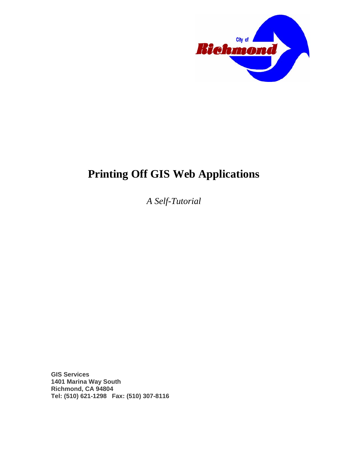

# **Printing Off GIS Web Applications**

*A Self-Tutorial* 

**GIS Services 1401 Marina Way South Richmond, CA 94804 Tel: (510) 621-1298 Fax: (510) 307-8116**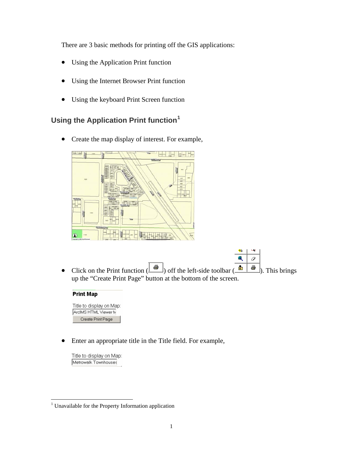There are 3 basic methods for printing off the GIS applications:

- Using the Application Print function
- Using the Internet Browser Print function
- Using the keyboard Print Screen function

## **Using the Application Print function[1](#page-1-0)**

• Create the map display of interest. For example,



Ô • Click on the Print function  $(\bigotimes^{\text{I\!I\!I}})$  off the left-side toolbar  $(\bigotimes^{\text{I\!I\!I}} \bigotimes^{\text{I\!I\!I}})$ . This brings up the "Create Print Page" button at the bottom of the screen.

 $#$ 

ペ

 $\mathbb{Z}_{\geq 0}$ 

#### **Print Map**

Title to display on Map: ArcIMS HTML Viewer M Create Print Page

• Enter an appropriate title in the Title field. For example,

Title to display on Map: Metrowalk Townhouses

 $\overline{a}$ 

<span id="page-1-0"></span><sup>&</sup>lt;sup>1</sup> Unavailable for the Property Information application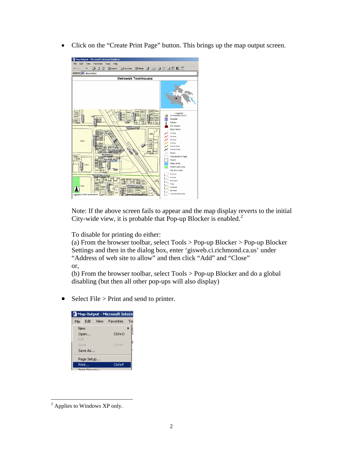• Click on the "Create Print Page" button. This brings up the map output screen.



Note: If the above screen fails to appear and the map display reverts to the initial City-wide view, it is probable that Pop-up Blocker is enabled.<sup>[2](#page-2-0)</sup>

To disable for printing do either:

(a) From the browser toolbar, select Tools > Pop-up Blocker > Pop-up Blocker Settings and then in the dialog box, enter 'gisweb.ci.richmond.ca.us' under "Address of web site to allow" and then click "Add" and "Close" or,

(b) From the browser toolbar, select Tools > Pop-up Blocker and do a global disabling (but then all other pop-ups will also display)

• Select File > Print and send to printer.

|             |                         | Map Output - Microsoft Intern |     |
|-------------|-------------------------|-------------------------------|-----|
| <b>File</b> | Edit.                   | View Favorites                | Too |
| New         |                         |                               |     |
|             | Open                    | Ctrl+O                        |     |
| Edit        |                         |                               |     |
| Save        |                         | $Ctrl + 5$                    |     |
|             | Save As                 |                               |     |
|             | Page Setup              |                               |     |
|             | Print                   | Ctrl+P                        |     |
|             | Ford and France descen- |                               |     |

<span id="page-2-0"></span> $\overline{a}$  $2$  Applies to Windows XP only.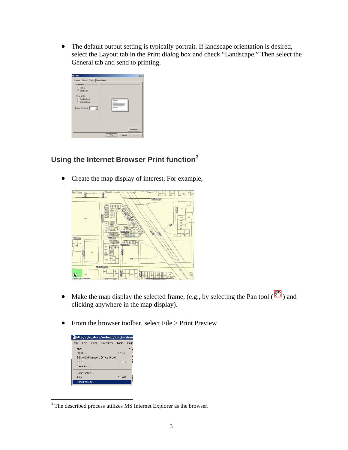• The default output setting is typically portrait. If landscape orientation is desired, select the Layout tab in the Print dialog box and check "Landscape." Then select the General tab and send to printing.

| Dientation                                     |      |
|------------------------------------------------|------|
| C Pottalt<br>G Landscape                       |      |
| Page Dider                                     |      |
| G Front to Back                                | man. |
| <b>C</b> Back to Front                         |      |
| Pages Per Sheet  1<br>$\overline{\phantom{a}}$ | --   |
|                                                |      |

## **Using the Internet Browser Print function[3](#page-3-0)**

• Create the map display of interest. For example,



- Make the map display the selected frame, (e.g., by selecting the Pan tool  $(\frac{80}{2})$  and clicking anywhere in the map display).
- From the browser toolbar, select File > Print Preview

|      |               | the http://gis_store/webapp/corgis/viewe |                        |      |
|------|---------------|------------------------------------------|------------------------|------|
| File | Fdit          | View Favorites                           | Tools                  | Help |
| New  |               |                                          |                        |      |
|      | Open          |                                          | $C$ trl+ $O$           |      |
|      |               | Edit with Microsoft Office Word          |                        |      |
| Save |               |                                          | $C$ tr $ +5$           |      |
|      | Save As       |                                          |                        |      |
|      | Page Setup…   |                                          |                        |      |
|      | Print         |                                          | $C$ <sub>r</sub> $ +P$ |      |
|      | Print Preview |                                          |                        |      |

<span id="page-3-0"></span><sup>&</sup>lt;sup>3</sup> The described process utilizes MS Internet Explorer as the browser.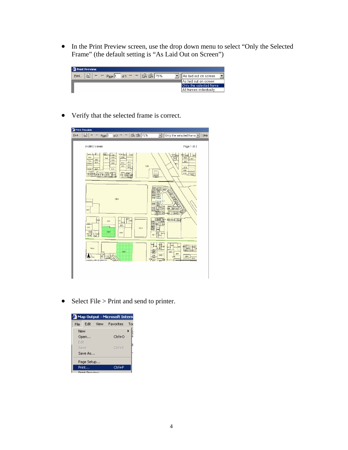• In the Print Preview screen, use the drop down menu to select "Only the Selected Frame" (the default setting is "As Laid Out on Screen")

| <sup>2</sup> Print Preview                                                                                      |                         |
|-----------------------------------------------------------------------------------------------------------------|-------------------------|
| $\mathbb{R}^3$<br>$_{\text{of}1}$ $\rightarrow$ $\ast$ $\beta$ $\beta$ $75\%$<br>Print<br>$\frac{1}{2}$<br>Page | As laid out on screen   |
|                                                                                                                 | AAs laid out on screen  |
|                                                                                                                 | Only the selected frame |
|                                                                                                                 | All frames individually |
|                                                                                                                 |                         |

• Verify that the selected frame is correct.

| Print Preview                                                                       |                                                                                                                      |                    |                                                                                                                                                    |                                                                   |      |
|-------------------------------------------------------------------------------------|----------------------------------------------------------------------------------------------------------------------|--------------------|----------------------------------------------------------------------------------------------------------------------------------------------------|-------------------------------------------------------------------|------|
| 6<br>Print<br>₩<br>$\leftarrow$                                                     | $\rightarrow$<br>$P_{\text{age}}$ 1<br>of 2 $\Rightarrow$                                                            | 民国 75%             | Only the selected frame                                                                                                                            |                                                                   | Help |
| ArcIMS Viewer                                                                       |                                                                                                                      |                    |                                                                                                                                                    | Page 1 of 2                                                       |      |
| $-570 - 94$<br>bisc<br>555<br>$54 -$<br>$5 - 3$<br>542<br>527<br>1.28<br><b>TUL</b> | $1200 - 214$<br>566 1:4 167<br>558<br><b>t61</b><br>602<br>551<br>56f<br>540<br>539<br>525<br>534<br>523<br>525<br>申 | 1225<br>1300<br>bs | 326 225<br>latit.<br><b>SON</b>                                                                                                                    | 1024 610<br>565<br>562<br>obl<br>550<br>520<br>522<br>510<br>1625 |      |
| 40E                                                                                 | 1221                                                                                                                 |                    | 熊龍<br>開發<br>图<br>455<br>$\overline{16}$<br>Ind<br>182<br>433-<br>183<br>412.<br>bś.                                                                |                                                                   |      |
| $ {\rm x}$<br>334<br>322                                                            | B2P<br>240<br>333<br>12C<br>330<br>1101<br>1203                                                                      | 1234<br>1355       | 15021514   h6d<br>422<br>332<br><b>AS</b><br>346<br>屬<br>314<br>$\frac{1}{1}$ $\frac{1}{2}$<br>1451                                                |                                                                   |      |
| 1000<br>Copyright(L.) 2006 City of Refinant                                         | 1100                                                                                                                 |                    | 40<br>$\frac{1}{4}$<br>EO!<br>2F5 269<br>500<br>$\frac{288}{254}$<br>260<br>255<br>249<br>246<br>248<br>242<br>ŧ۵<br>239<br>552<br>$\alpha$<br>235 | 250<br>$2\epsilon_0$                                              |      |
|                                                                                     |                                                                                                                      |                    |                                                                                                                                                    |                                                                   |      |

• Select File > Print and send to printer.

|      |                  |       | <b>2</b> Map Output - Microsoft Intern |     |
|------|------------------|-------|----------------------------------------|-----|
| File | Edit             | View. | Favorites                              | Too |
| New  |                  |       |                                        |     |
|      | Open             |       | $Ctrl + O$                             |     |
| Edit |                  |       |                                        |     |
| Save |                  |       | $C$ tr $ +5$                           |     |
|      | Save As          |       |                                        |     |
|      | Page Setup       |       |                                        |     |
|      | Print            |       | Ctrl+P                                 |     |
|      | Deight Dearnigue |       |                                        |     |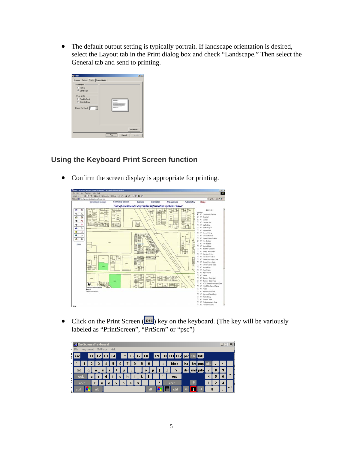• The default output setting is typically portrait. If landscape orientation is desired, select the Layout tab in the Print dialog box and check "Landscape." Then select the General tab and send to printing.

| Dientation                                     |      |
|------------------------------------------------|------|
| C Pottalt<br>G Landscape                       |      |
| Page Dider                                     |      |
| G Front to Back                                | man. |
| <b>C</b> Back to Front                         |      |
| Pages Per Sheet  1<br>$\overline{\phantom{a}}$ | --   |
|                                                |      |

### **Using the Keyboard Print Screen function**

• Confirm the screen display is appropriate for printing.



• Click on the Print Screen ( $P^{\text{sec}}$ ) key on the keyboard. (The key will be variously labeled as "PrintScreen", "PrtScrn" or "psc")

|        |      |                |     |   | In-Screen Keyboard | .    |              |   |   |                   | . |   |     |                          |     |      |      |                           |          |   |   | --- |     |
|--------|------|----------------|-----|---|--------------------|------|--------------|---|---|-------------------|---|---|-----|--------------------------|-----|------|------|---------------------------|----------|---|---|-----|-----|
|        |      |                |     |   |                    |      |              |   |   |                   |   |   |     |                          |     |      |      |                           |          |   |   |     |     |
| - File |      |                |     |   | Keyboard Settings  | Help |              |   |   |                   |   |   |     |                          |     |      |      |                           |          |   |   |     |     |
| esc    |      | F <sub>1</sub> |     |   |                    | F4   |              |   |   | F5   F6   F7   F8 |   |   |     |                          |     |      |      | F9 F10 F11 F12 psc sk brk |          |   |   |     |     |
|        |      |                |     |   |                    | 5    | 6            |   |   | 8                 |   | 9 | 0   | ۰                        | $=$ |      | bksp | ins                       | hm   pup |   |   |     | ۰   |
|        |      |                |     |   |                    |      |              |   |   |                   |   |   |     |                          |     |      |      |                           |          |   |   |     |     |
| tab    |      | a              | w   | e |                    |      |              | ν |   | u                 |   | 0 |     |                          |     |      |      | del                       | end pan  |   |   | 9   |     |
|        | lock | $\overline{a}$ |     |   | п                  |      | $\mathbf{g}$ |   | h |                   |   | k |     | $\overline{\phantom{a}}$ |     | ent  |      |                           |          | 4 | 5 | 6   | ٠   |
|        | shft |                | z   | x |                    | c    |              |   |   | n                 | m |   |     |                          |     | shft |      |                           |          |   |   |     |     |
| etrl   |      |                | alt |   |                    |      |              |   |   |                   |   |   | alt |                          |     |      | ctrl |                           |          | 0 |   |     | ent |